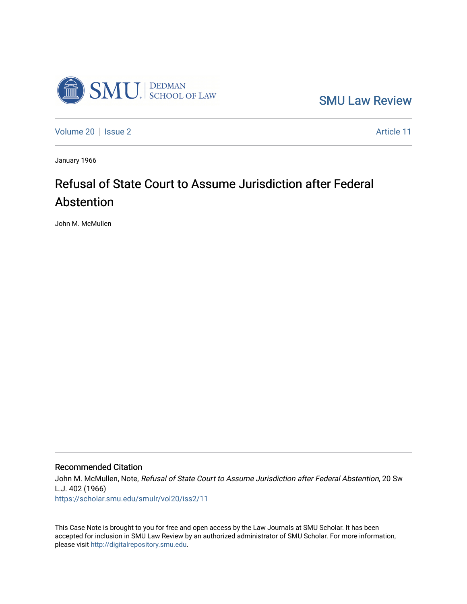

[SMU Law Review](https://scholar.smu.edu/smulr) 

[Volume 20](https://scholar.smu.edu/smulr/vol20) | [Issue 2](https://scholar.smu.edu/smulr/vol20/iss2) Article 11

January 1966

# Refusal of State Court to Assume Jurisdiction after Federal Abstention

John M. McMullen

## Recommended Citation

John M. McMullen, Note, Refusal of State Court to Assume Jurisdiction after Federal Abstention, 20 Sw L.J. 402 (1966) [https://scholar.smu.edu/smulr/vol20/iss2/11](https://scholar.smu.edu/smulr/vol20/iss2/11?utm_source=scholar.smu.edu%2Fsmulr%2Fvol20%2Fiss2%2F11&utm_medium=PDF&utm_campaign=PDFCoverPages)

This Case Note is brought to you for free and open access by the Law Journals at SMU Scholar. It has been accepted for inclusion in SMU Law Review by an authorized administrator of SMU Scholar. For more information, please visit [http://digitalrepository.smu.edu.](http://digitalrepository.smu.edu/)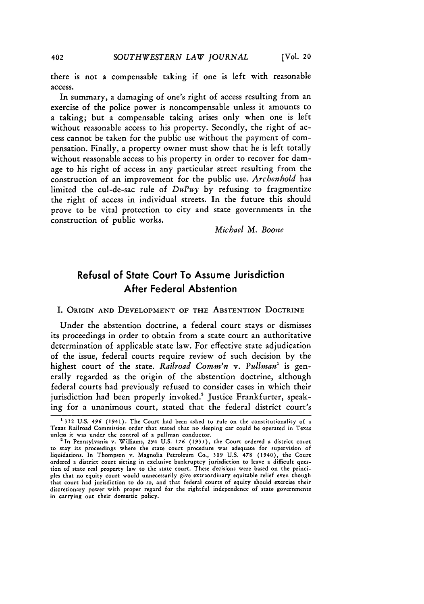there is not a compensable taking if one is left with reasonable access.

In summary, a damaging of one's right of access resulting from an exercise of the police power is noncompensable unless it amounts to a taking; but a compensable taking arises only when one is left without reasonable access to his property. Secondly, the right of access cannot be taken for the public use without the payment of compensation. Finally, a property owner must show that he is left totally without reasonable access to his property in order to recover for damage to his right of access in any particular street resulting from the construction of an improvement for the public use. *Archenhold* has limited the cul-de-sac rule of *DuPuy* by refusing to fragmentize the right of access in individual streets. In the future this should prove to be vital protection to city and state governments in the construction of public works.

*Michael M. Boone*

## Refusal of State Court To Assume Jurisdiction After Federal Abstention

I. ORIGIN **AND DEVELOPMENT** OF **THE ABSTENTION** DOCTRINE

Under the abstention doctrine, a federal court stays or dismisses its proceedings in order to obtain from a state court an authoritative determination of applicable state law. For effective state adjudication of the issue, federal courts require review of such decision **by** the highest court of the state. *Railroad Comm'n* v. Pullman<sup>1</sup> is generally regarded as the origin of the abstention doctrine, although federal courts had previously refused to consider cases in which their jurisdiction had been properly invoked.<sup>2</sup> Justice Frankfurter, speaking for a unanimous court, stated that the federal district court's

402

<sup>1</sup> **312 U.S.** *496* (1941). The Court had been asked to rule on the constitutionality of a Texas Railroad Commission order that stated that no sleeping car could be operated in Texas unless it was under the control of a pullman conductor. 2 In Pennsylvania v. Williams, 294 U.S. *176* **(1935),** the Court ordered a district court

to stay its proceedings where the state court procedure was adequate for supervision of liquidations. In Thompson v. Magnolia Petroleum Co., **309** U.S. 478 (1940), the Court ordered a district court sitting in exclusive bankruptcy jurisdiction to leave a difficult question of state real property law to the state court. These decisions were based on the principles that no equity court would unnecessarily give extraordinary equitable relief even though that court had jurisdiction to do so, and that federal courts of equity should exercise their discretionary power with proper regard for the rightful independence of state governments in carrying out their domestic policy.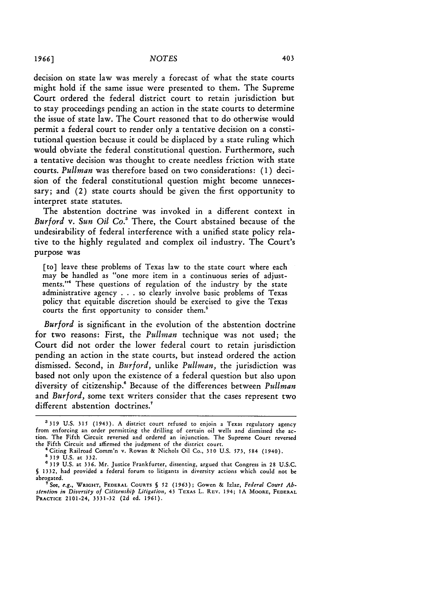decision on state law was merely a forecast of what the state courts might hold if the same issue were presented to them. The Supreme Court ordered the federal district court to retain jurisdiction but to stay proceedings pending an action in the state courts to determine the issue of state law. The Court reasoned that to do otherwise would permit a federal court to render only a tentative decision on a constitutional question because it could be displaced by a state ruling which would obviate the federal constitutional question. Furthermore, such a tentative decision was thought to create needless friction with state courts. *Pullman* was therefore based on two considerations: (1) decision of the federal constitutional question might become unnecessary; and (2) state courts should be given the first opportunity to interpret state statutes.

The abstention doctrine was invoked in a different context in *Burford v. Sun Oil Co.'* There, the Court abstained because of the undesirability of federal interference with a unified state policy relative to the highly regulated and complex oil industry. The Court's purpose was

[to] leave these problems of Texas law to the state court where each may be handled as "one more item in a continuous series of adjustments."<sup>4</sup> These questions of regulation of the industry by the state administrative agency . . . so clearly involve basic problems of Texas policy that equitable discretion should be exercised to give the Texas courts the first opportunity to consider them.'

*Burford* is significant in the evolution of the abstention doctrine for two reasons: First, the *Pullman* technique was not used; the Court did not order the lower federal court to retain jurisdiction pending an action in the state courts, but instead ordered the action dismissed. Second, in *Burford,* unlike *Pullman,* the jurisdiction was based not only upon the existence of a federal question but also upon diversity of citizenship.! Because of the differences between *Pullman* and *Burford,* some text writers consider that the cases represent two different abstention doctrines.<sup>?</sup>

a319 U.S. **315** (1943). A district court refused to enjoin a Texas regulatory agency from enforcing an order permitting the drilling of certain oil wells and dismissed the action. The Fifth Circuit reversed and ordered an injunction. The Supreme Court reversed the Fifth Circuit and affirmed the judgment of the district court.

<sup>&</sup>quot;Citing Railroad Comm'n v. Rowan & Nichols Oil Co., **310** U.S. **573,** *584* (1940).

**<sup>5319</sup> U.S.** at 332. *<sup>6</sup>*319 U.S. at 336. Mr. Justice Frankfurter, dissenting, argued that Congress in **28** U.S.C. *5* 1332, had provided a federal forum to litigants in diversity actions which could not be abrogated.

**<sup>7</sup>See,** e.g., **WRIGHT, FEDERAL COURTS §** *52* **(1963);** Gowen **&** Izlar, *Federal Conrt Abstention in Diversity of Citizenship Litigation,* 43 TEXAS L. **REV. 194; 1A MOORE, FEDERAL PRACTICE** 2101-24, **3331-32** (2d ed. 1961).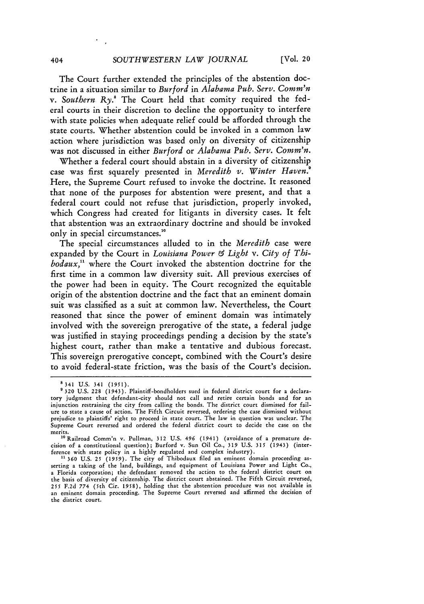**[Vol.** 20

The Court further extended the principles of the abstention doctrine in a situation similar to *Burford* in *Alabama Pub. Serv. Comm'n* v. Southern Ry.<sup>8</sup> The Court held that comity required the federal courts in their discretion to decline the opportunity to interfere with state policies when adequate relief could be afforded through the state courts. Whether abstention could be invoked in a common law action where jurisdiction was based only on diversity of citizenship was not discussed in either *Burford* or *Alabama Pub. Serv. Comm'n.*

Whether a federal court should abstain in a diversity of citizenship case was first squarely presented in *Meredith v. Winter Haven.!* Here, the Supreme Court refused to invoke the doctrine. It reasoned that none of the purposes for abstention were present, and that a federal court could not refuse that jurisdiction, properly invoked, which Congress had created for litigants in diversity cases. It felt that abstention was an extraordinary doctrine and should be invoked only in special circumstances."

The special circumstances alluded to in the *Meredith* case were expanded by the Court in *Louisiana Power & Light v. City of Thibodaux,1* where the Court invoked the abstention doctrine for the first time in a common law diversity suit. All previous exercises of the power had been in equity. The Court recognized the equitable origin of the abstention doctrine and the fact that an eminent domain suit was classified as a suit at common law. Nevertheless, the Court reasoned that since the power of eminent domain was intimately involved with the sovereign prerogative of the state, a federal judge was justified in staying proceedings pending a decision by the state's highest court, rather than make a tentative and dubious forecast. This sovereign prerogative concept, combined with the Court's desire to avoid federal-state friction, was the basis of the Court's decision.

<sup>8341</sup> U.S. 341 (1951).

**<sup>&#</sup>x27;** 320 U.S. 228 (1943). Plaintiff-bondholders sued in federal district court for a declaratory judgment that defendant-city should not call and retire certain bonds and for an injunction restraining the city from calling the bonds. The district court dismissed for failure to state a cause of action. The Fifth Circuit reversed, ordering the case dismissed without prejudice to plaintiffs' right to proceed in state court. The law in question was unclear. The Supreme Court reversed and ordered the federal district court to decide the case on the merits.

<sup>&</sup>lt;sup>10</sup>Railroad Comm'n v. Pullman, 312 U.S. 496 (1941) (avoidance of a premature decision of a constitutional question); Burford v. Sun Oil Co., 319 U.S. 315 (1943) (inter-

ference with state policy in a highly regulated and complex industry).<br><sup>11</sup> 360 U.S. 25 (1959). The city of Thibodaux filed an eminent domain proceeding as-<br>serting a taking of the land, buildings, and equipment of Louisia a Florida corporation; the defendant removed the action to the federal district court on the basis of diversity of citizenship. The district court abstained. The Fifth Circuit reversed, 255 F.2d 774 (sth Cir. 1958), holding that the abstention procedure was not available in an eminent domain proceeding. The Supreme Court reversed and affirmed the decision of the district court.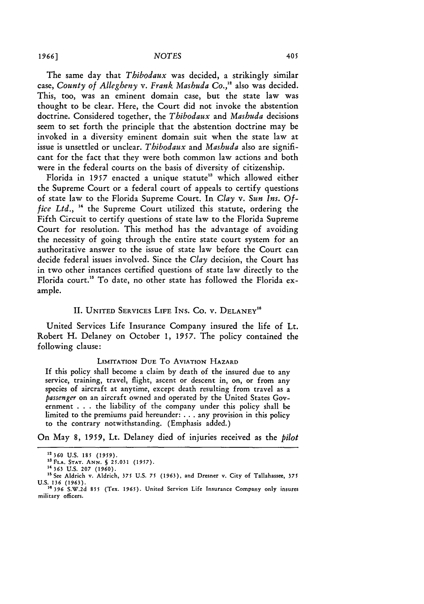*1966] NOTES*

The same day that *Thibodaux* was decided, a strikingly similar case, *County of Allegheny v. Frank Mashuda Co.,"* also was decided. This, too, was an eminent domain case, but the state law was thought to be clear. Here, the Court did not invoke the abstention doctrine. Considered together, the *Thibodaux* and *Mashuda* decisions seem to set forth the principle that the abstention doctrine may be invoked in a diversity eminent domain suit when the state law at issue is unsettled or unclear. *Thibodaux* and *Mashuda* also are significant for the fact that they were both common law actions and both were in the federal courts on the basis of diversity of citizenship.

Florida in 1957 enacted a unique statute<sup>13</sup> which allowed either the Supreme Court or a federal court of appeals to certify questions of state law to the Florida Supreme Court. In *Clay* v. *Sun Ins. Office Ltd., "* the Supreme Court utilized this statute, ordering the Fifth Circuit to certify questions of state law to the Florida Supreme Court for resolution. This method has the advantage of avoiding the necessity of going through the entire state court system for an authoritative answer to the issue of state law before the Court can decide federal issues involved. Since the *Clay* decision, the Court has in two other instances certified questions of state law directly to the Florida court." To date, no other state has followed the Florida example.

### **II. UNITED** SERVICES **LIFE INS.** Co. **v. DELANEY"**

United Services Life Insurance Company insured the life of Lt. Robert H. Delaney on October 1, **1957.** The policy contained the following clause:

#### LIMITATION **DUE** To AVIATION HAZARD

If this policy shall become a claim by death of the insured due to any service, training, travel, flight, ascent or descent in, on, or from any species of aircraft at anytime, except death resulting from travel as a *passenger* on an aircraft owned and operated by the United States Government . . . the liability of the company under this policy shall be limited to the premiums paid hereunder: ... any provision in this policy to the contrary notwithstanding. (Emphasis added.)

On May 8, **1959,** Lt. Delaney died of injuries received as the *pilot*

**<sup>12360</sup> U.S. 185** *(1959).*

**<sup>&#</sup>x27; FLA. STAT. ANN. § 25.031 (1957).** <sup>14</sup>**363 U.S. 207 (1960).**

<sup>&</sup>lt;sup>15</sup> See Aldrich v. Aldrich, 375 U.S. 75 (1963), and Dresner v. City of Tallahassee, 375 U.S. **136 (1963). 16396 S.W.2d 855** (Tex. **1965).** United Services Life Insurance Company only insures

military officers.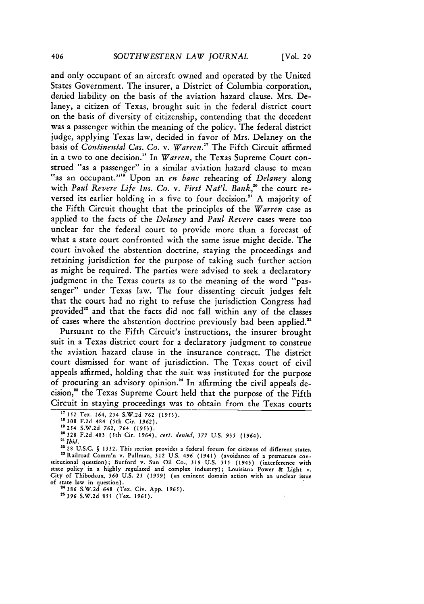and only occupant of an aircraft owned and operated by the United States Government. The insurer, a District of Columbia corporation, denied liability on the basis of the aviation hazard clause. Mrs. Delaney, a citizen of Texas, brought suit in the federal district court on the basis of diversity of citizenship, contending that the decedent was a passenger within the meaning of the policy. The federal district judge, applying Texas law, decided in favor of Mrs. Delaney on the basis of *Continental Cas. Co. v. Warren."* The Fifth Circuit affirmed in a two to one decision."8 In *Warren,* the Texas Supreme Court construed "as a passenger" in a similar aviation hazard clause to mean f\*as an occupant."" Upon an *en banc* rehearing of *Delaney* along with *Paul Revere Life Ins. Co. v. First Nat'l. Bank,"°* the court reversed its earlier holding in a five to four decision.<sup>21</sup> A majority of the Fifth Circuit thought that the principles of the *Warren* case as applied to the facts of the *Delaney* and *Paul Revere* cases were too unclear for the federal court to provide more than a forecast of what a state court confronted with the same issue might decide. The court invoked the abstention doctrine, staying the proceedings and retaining jurisdiction for the purpose of taking such further action as might be required. The parties were advised to seek a declaratory judgment in the Texas courts as to the meaning of the word "passenger" under Texas law. The four dissenting circuit judges felt that the court had no right to refuse the jurisdiction Congress had provided" and that the facts did not fall within any of the classes of cases where the abstention doctrine previously had been applied.'

Pursuant to the Fifth Circuit's instructions, the insurer brought suit in a Texas district court for a declaratory judgment to construe the aviation hazard clause in the insurance contract. The district court dismissed for want of jurisdiction. The Texas court of civil appeals affirmed, holding that the suit was instituted for the purpose of procuring an advisory opinion." In affirming the civil appeals decision, 5 the Texas Supreme Court held that the purpose of the Fifth Circuit in staying proceedings was to obtain from the Texas courts

**24386 S.W.2d 648** (Tex. Civ. App. **1965).** *25396* S.W.2d 855 (Tex. 1965).

**<sup>&</sup>quot; 152** Tex. 164, 254 S.W.2d **762 (1953).**

**<sup>18308</sup>** F.2d 484 (5th Cir. 1962).

**<sup>19254</sup>** S.W.2d *762,* 764 (1953).

<sup>20328</sup> F.2d 483 (5th Cir. 1964), *cert. denied,* 377 U.S. *935* (1964).

*<sup>21</sup> Ibid.*

<sup>22</sup> **28** U.S.C. **S 1332.** This section provides a federal forum for citizens of diferent states. **"** Railroad Comm'n v. Pullman, 312 U.S. 496 (1941) (avoidance of a premature con- stitutional question); Burford v. Sun Oil Co., **319** U.S. 315 (1943) (interference with state policy in a highly regulated and complex industry); Louisiana Power & Light v. City of Thibodaux, 360 U.S. 25 **(1959)** (an eminent domain action with an unclear issue of state law in question).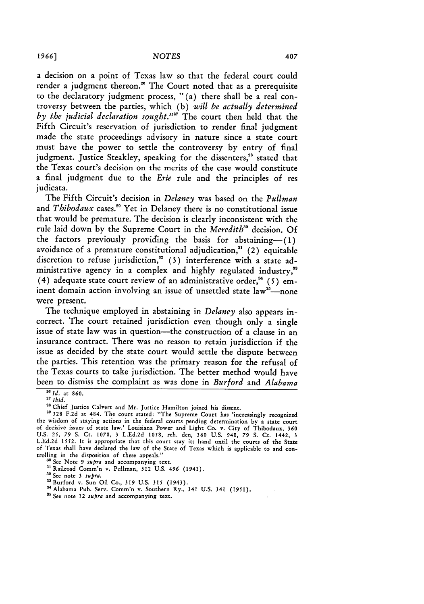a decision on a point of Texas law so that the federal court could render a judgment thereon.<sup>26</sup> The Court noted that as a prerequisite to the declaratory judgment process, "(a) there shall be a real controversy between the parties, which (b) *will be actually determined by the judicial declaration sought."'7* The court then held that the Fifth Circuit's reservation of jurisdiction to render final judgment made the state proceedings advisory in nature since a state court must have the power to settle the controversy by entry of final judgment. Justice Steakley, speaking for the dissenters,<sup>28</sup> stated that the Texas court's decision on the merits of the case would constitute a final judgment due to the *Erie* rule and the principles of res judicata.

The Fifth Circuit's decision in *Delaney* was based on the *Pullman* and *Thibodaux* cases.<sup>29</sup> Yet in Delaney there is no constitutional issue that would be premature. The decision is clearly inconsistent with the rule laid down by the Supreme Court in the *Meredith"* decision. **Of** the factors previously providing the basis for abstaining- $(1)$ avoidance of a premature constitutional adjudication," (2) equitable discretion to refuse jurisdiction,<sup>32</sup> (3) interference with a state administrative agency in a complex and highly regulated industry,<sup>33</sup> (4) adequate state court review of an administrative order,<sup>34</sup> (5) eminent domain action involving an issue of unsettled state  $law^{38}$ -none were present.

The technique employed in abstaining in *Delaney* also appears incorrect. The court retained jurisdiction even though only a single issue of state law was in question-the construction of a clause in an insurance contract. There was no reason to retain jurisdiction if the issue as decided by the state court would settle the dispute between the parties. This retention was the primary reason for the refusal of the Texas courts to take jurisdiction. The better method would have been to dismiss the complaint as was done in *Burford* and *Alabama*

*<sup>I</sup>*id. at **860.** *<sup>217</sup>Ibid.*

**<sup>28</sup>**Chief Justice Calvert and Mr. Justice Hamilton joined his dissent. **29 328 F.2d at 484. The court stated: "The Supreme Court has 'increasingly recognized** 

the wisdom of staying actions in the federal courts pending determination by a state court<br>of decisive issues of state law.' Louisiana Power and Light Co. v. City of Thibodaux, 360 U.S. **25,** 79 S. Ct. **1070,** 3 L.Ed.2d **1058,** reh. den, **360** U.S. 940, 79 **S.** Ct. 1442, 3 L.Ed.2d 1552. It is appropriate that this court stay its hand until the courts of the State of Texas shall have declared the law of the State of Texas which is applicable to and controlling in the disposition of these appeals."

**<sup>3</sup>o** See Note *9 supra* and accompanying text.

<sup>&</sup>lt;sup>31</sup> Railroad Comm'n v. Pullman, 312 U.S. 496 (1941). <sup>32</sup> See note 3 *supra*.

aaBurford v. Sun Oil Co., **319** U.S. **315** (1943).

<sup>&</sup>lt;sup>34</sup> Alabama Pub. Serv. Comm'n v. Southern Ry., 341 U.S. 341 (1951).

**as** See note 12 *supra* and accompanying text.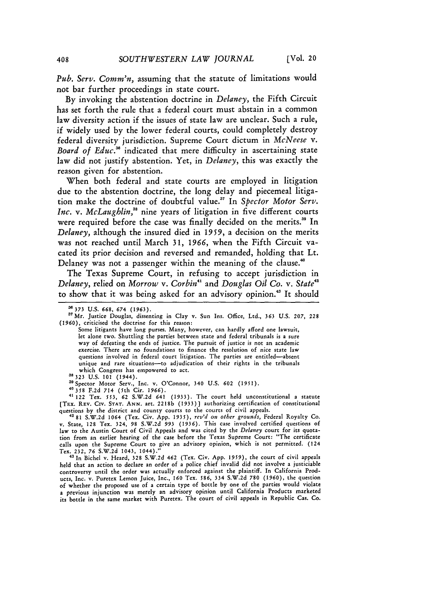*Pub. Serv. Comm'n,* assuming that the statute of limitations would not bar further proceedings in state court.

**By** invoking the abstention doctrine in *Delaney,* the Fifth Circuit has set forth the rule that a federal court must abstain in a common law diversity action if the issues of state law are unclear. Such a rule, if widely used **by** the lower federal courts, could completely destroy federal diversity jurisdiction. Supreme Court dictum in *McNeese v. Board of Educ."* indicated that mere difficulty in ascertaining state law did not justify abstention. Yet, in *Delaney,* this was exactly the reason given for abstention.

When both federal and state courts are employed in litigation due to the abstention doctrine, the long delay and piecemeal litigation make the doctrine of doubtful value." In *Spector Motor Serv. Inc.* v. *McLaughlin*,<sup>38</sup> nine years of litigation in five different courts were required before the case was finally decided on the merits.<sup>39</sup> In *Delaney,* although the insured died in **1959,** a decision on the merits was not reached until March **31,** *1966,* when the Fifth Circuit vacated its prior decision and reversed and remanded, holding that Lt. Delaney was not a passenger within the meaning of the clause.<sup>40</sup>

The Texas Supreme Court, in refusing to accept jurisdiction in *Delaney,* relied on *Morrow v. Corbin"* and *Douglas Oil Co. v. State'* to show that it was being asked for an advisory opinion.<sup>43</sup> It should

asSpector Motor Serv., Inc. v. O'Connor, 340 U.S. 602 **(1951).**

**40358 F.2d** 714 (5th Cir, 1966).

41122 Tex. **553,** 62 S.W.2d 641 **(1933).** The court **held** unconstitutional a statute [TEx. REV. **CIv. STAT. ANN.** art. 2218b (1933)] authorizing certification of constitutional questions **by** the district and county courts to the courts of civil appeals. <sup>4281</sup>**S.W.2d** 1064 (Tex. Civ. **App.** *1935), rev'd on other grounds,* Federal Royalty Co.

v. State, **128** Tex. 324, 98 **S.W.2d** *993* **(1936).** This case involved certified questions of law to the Austin Court of Civil Appeals and was cited by the *Delaney* court for its quotation from an earlier hearing of the case before the Texas Supreme Court: "The certificate calls upon the Supreme Court to give an advisory opinion, which is not permitted. (124 Tex. **232, 76 S.W.2d** 1043, 1044)." **"** In Bichel v. Heard, **328 S.W.2d** 462 (Tex. Civ. **App. 1959),** the court of civil appeals

held that an action to declare an order of a police chief invalid did not involve a justiciable controversy until the order was actually enforced against the plaintiff. In California Products, Inc. v. Puretex Lemon Juice, Inc., **160** Tex. **586,** 334 **S.W.2d 780 (1960),** the question of whether the proposed use of a certain type of bottle **by** one of the parties would violate a previous injunction was merely an advisory opinion until California Products marketed its bottle in the same market with Puretex. The court of civil appeals in Republic Cas. Co.

**as373** U.S. 668, *674* (1963).

<sup>&</sup>lt;sup>37</sup> Mr. Justice Douglas, dissenting in Clay v. Sun Ins. Office, Ltd., 363 U.S. 207, 228 (1960), criticised the doctrine for this reason:

Some litigants have long purses. Many, however, can hardly afford one lawsuit, let alone two. Shuttling the parties between state and federal tribunals is **a** sure way of defeating the ends of justice. The pursuit of justice is not an academic exercise. There are no foundations to finance the resolution of nice state law questions involved in federal court litigation. The parties are entitled-absent unique and rare situations-to adjudication of their rights in the tribunals which Congress has empowered to act. **38 323 U.S. 101** (1944).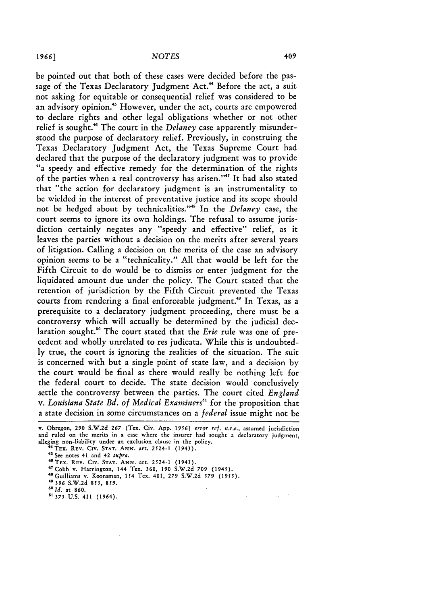be pointed out that both of these cases were decided before the passage of the Texas Declaratory Judgment Act.<sup>44</sup> Before the act, a suit not asking for equitable or consequential relief was considered to be an advisory opinion.<sup>45</sup> However, under the act, courts are empowered to declare rights and other legal obligations whether or not other relief is sought.<sup>46</sup> The court in the *Delaney* case apparently misunderstood the purpose of declaratory relief. Previously, in construing the Texas Declaratory Judgment Act, the Texas Supreme Court had declared that the purpose of the declaratory judgment was to provide "a speedy and effective remedy for the determination of the rights of the parties when a real controversy has arisen."<sup>47</sup> It had also stated that "the action for declaratory judgment is an instrumentality to be wielded in the interest of preventative justice and its scope should not be hedged about by technicalities." In the *Delaney* case, the court seems to ignore its own holdings. The refusal to assume jurisdiction certainly negates any "speedy and effective" relief, as it leaves the parties without a decision on the merits after several years of litigation. Calling a decision on the merits of the case an advisory opinion seems to be a "technicality." All that would be left for the Fifth Circuit to do would be to dismiss or enter judgment for the liquidated amount due under the policy. The Court stated that the retention of jurisdiction by the Fifth Circuit prevented the Texas courts from rendering a final enforceable judgment.<sup>49</sup> In Texas, as a prerequisite to a declaratory judgment proceeding, there must be a controversy which will actually be determined by the judicial declaration sought." The court stated that the *Erie* rule was one of precedent and wholly unrelated to res judicata. While this is undoubtedly true, the court is ignoring the realities of the situation. The suit is concerned with but a single point of state law, and a decision by the court would be final as there would really be nothing left for the federal court to decide. The state decision would conclusively settle the controversy between the parties. The court cited *England v. Louisiana State Bd. of Medical Examiners"1* for the proposition that a state decision in some circumstances on a *federal* issue might not be

v. Obregon, **290 S.W.2d 267** (Tex. Civ. **App. 1956)** *error ref. n.r.e.,* assumed jurisdiction and ruled on the merits in a case where the insurer had sought a declaratory judgment, alleging non-liability under an exclusion clause in the policy.

 $\mathcal{L}$ 

 $\omega \sim 10$ 

**'TEX. REV. CIV. STAT. ANN.** art. 2524-1 (1943). **<sup>45</sup>**See notes **41 and 42** *supra.*

<sup>47</sup> Cobb v. Harrington, 144 Tex. 360, 190 S.W.2d 709 (1945).<br><sup>48</sup> Guilliams v. Koonsman, 154 Tex. 401, 279 S.W.2d 579 (1955).<br><sup>49</sup> 396 S.W.2d 855, 859.

*5ald.* at 860.

**51 375 U.S.** 411 (1964).